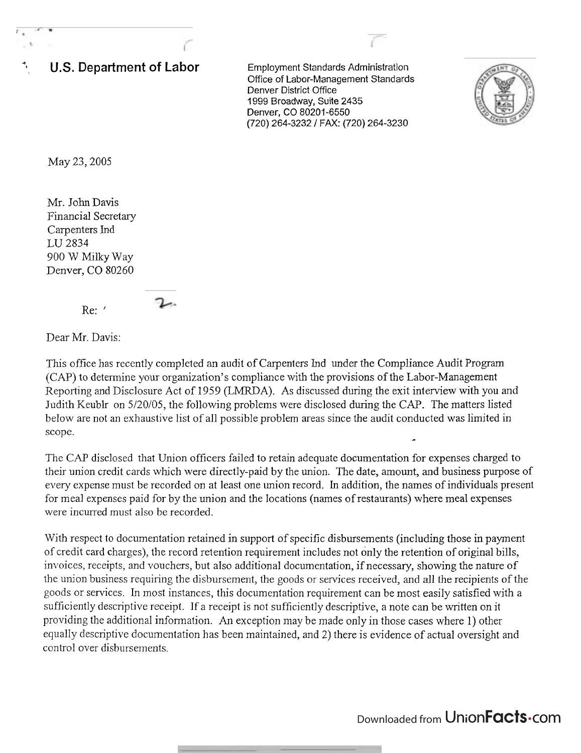

May 23,2005

Mr. John Davis Financial Secretary Carpenters Ind LU 2834 900 W Milky Way Denver, CO 80260

Re: '

Dear Mr. Davis:

This office has recently completed an audit of Carpenters Ind under the Compliance Audit Program (CAP) to determine your organization's compliance with the provisions of the Labor-Management Reporting and Disclosure Act of 1959 (LMRDA). As discussed during the exit interview with you and Judith Keublr on 5/20/05, the following problems were disclosed during the CAP. The matters listed below are not an exhaustive list of all possible problem areas since the audit conducted was limited in scope.

The CAP disclosed that Union officers failed to retain adequate documentation for expenses charged to their union credit cards which were directly-paid by the union. The date, amount, and business purpose of every expense must be recorded on at least one union record. In addition, the names of individuals present for meal expenses paid for by the union and the locations (names of restaurants) where meal expenses were incurred must also be recorded.

With respect to documentation retained in support of specific disbursements (including those in payment of credit card charges), the record retention requirement includes not only the retention of original bills, invoices, receipts, and vouchers, but also additional documentation, if necessary, showing the nature of the union business requiring the disbursement, the goods or services received, and all the recipients of the goods or services. In most instances, this documentation requirement can be most easily satisfied with a sufficiently descriptive receipt. If a receipt is not sufficiently descriptive, a note can be written on it providing the additional information. An exception may be made only in those cases where 1) other equally descriptive documentation has been maintained, and 2) there is evidence of actual oversight and control over disbursements.